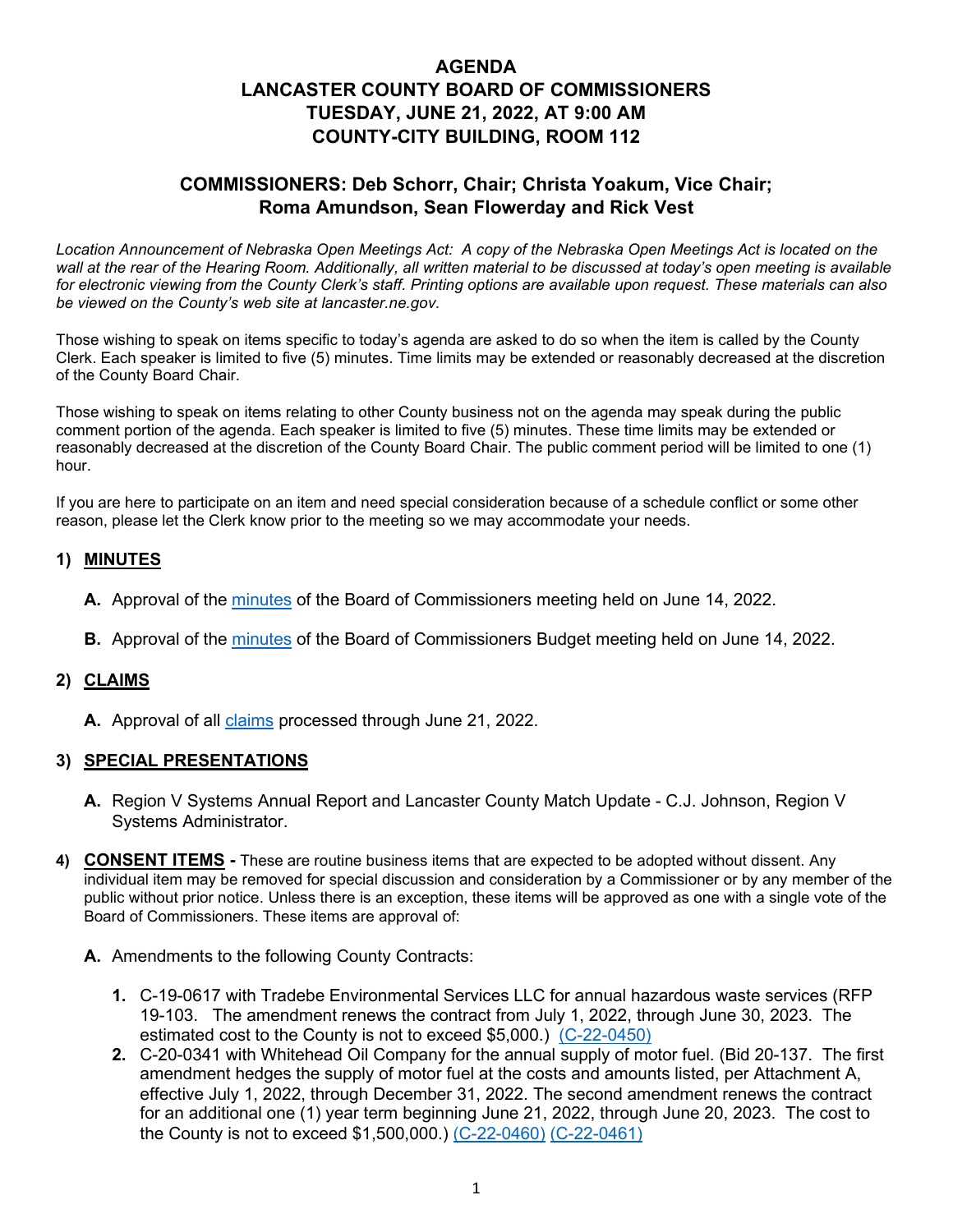# **AGENDA LANCASTER COUNTY BOARD OF COMMISSIONERS TUESDAY, JUNE 21, 2022, AT 9:00 AM COUNTY-CITY BUILDING, ROOM 112**

## **COMMISSIONERS: Deb Schorr, Chair; Christa Yoakum, Vice Chair; Roma Amundson, Sean Flowerday and Rick Vest**

Location Announcement of Nebraska Open Meetings Act: A copy of the Nebraska Open Meetings Act is located on the *wall at the rear of the Hearing Room. Additionally, all written material to be discussed at today's open meeting is available for electronic viewing from the County Clerk's staff. Printing options are available upon request. These materials can also be viewed on the County's web site at lancaster.ne.gov.*

Those wishing to speak on items specific to today's agenda are asked to do so when the item is called by the County Clerk. Each speaker is limited to five (5) minutes. Time limits may be extended or reasonably decreased at the discretion of the County Board Chair.

Those wishing to speak on items relating to other County business not on the agenda may speak during the public comment portion of the agenda. Each speaker is limited to five (5) minutes. These time limits may be extended or reasonably decreased at the discretion of the County Board Chair. The public comment period will be limited to one (1) hour.

If you are here to participate on an item and need special consideration because of a schedule conflict or some other reason, please let the Clerk know prior to the meeting so we may accommodate your needs.

## **1) MINUTES**

- **A.** Approval of the [minutes](https://www.lancaster.ne.gov/DocumentCenter/View/14228/mi220614-PDF-) of the Board of Commissioners meeting held on June 14, 2022.
- **B.** Approval of the [minutes](https://www.lancaster.ne.gov/DocumentCenter/View/14229/mi220614-budget-meeting-PDF-) of the Board of Commissioners Budget meeting held on June 14, 2022.

#### **2) CLAIMS**

**A.** Approval of all [claims](https://www.lancaster.ne.gov/DocumentCenter/View/14267/claims) processed through June 21, 2022.

#### **3) SPECIAL PRESENTATIONS**

- **A.** Region V Systems Annual Report and Lancaster County Match Update C.J. Johnson, Region V Systems Administrator.
- **4) CONSENT ITEMS -** These are routine business items that are expected to be adopted without dissent. Any individual item may be removed for special discussion and consideration by a Commissioner or by any member of the public without prior notice. Unless there is an exception, these items will be approved as one with a single vote of the Board of Commissioners. These items are approval of:
	- **A.** Amendments to the following County Contracts:
		- **1.** C-19-0617 with Tradebe Environmental Services LLC for annual hazardous waste services (RFP 19-103. The amendment renews the contract from July 1, 2022, through June 30, 2023. The estimated cost to the County is not to exceed \$5,000.) [\(C-22-0450\)](https://www.lancaster.ne.gov/DocumentCenter/View/14232/C-22-0450-PDF-)
		- **2.** C-20-0341 with Whitehead Oil Company for the annual supply of motor fuel. (Bid 20-137. The first amendment hedges the supply of motor fuel at the costs and amounts listed, per Attachment A, effective July 1, 2022, through December 31, 2022. The second amendment renews the contract for an additional one (1) year term beginning June 21, 2022, through June 20, 2023. The cost to the County is not to exceed \$1,500,000.) [\(C-22-0460\)](https://www.lancaster.ne.gov/DocumentCenter/View/14225/C-22-0460-PDF-) [\(C-22-0461\)](https://www.lancaster.ne.gov/DocumentCenter/View/14226/C-22-0461-PDF-)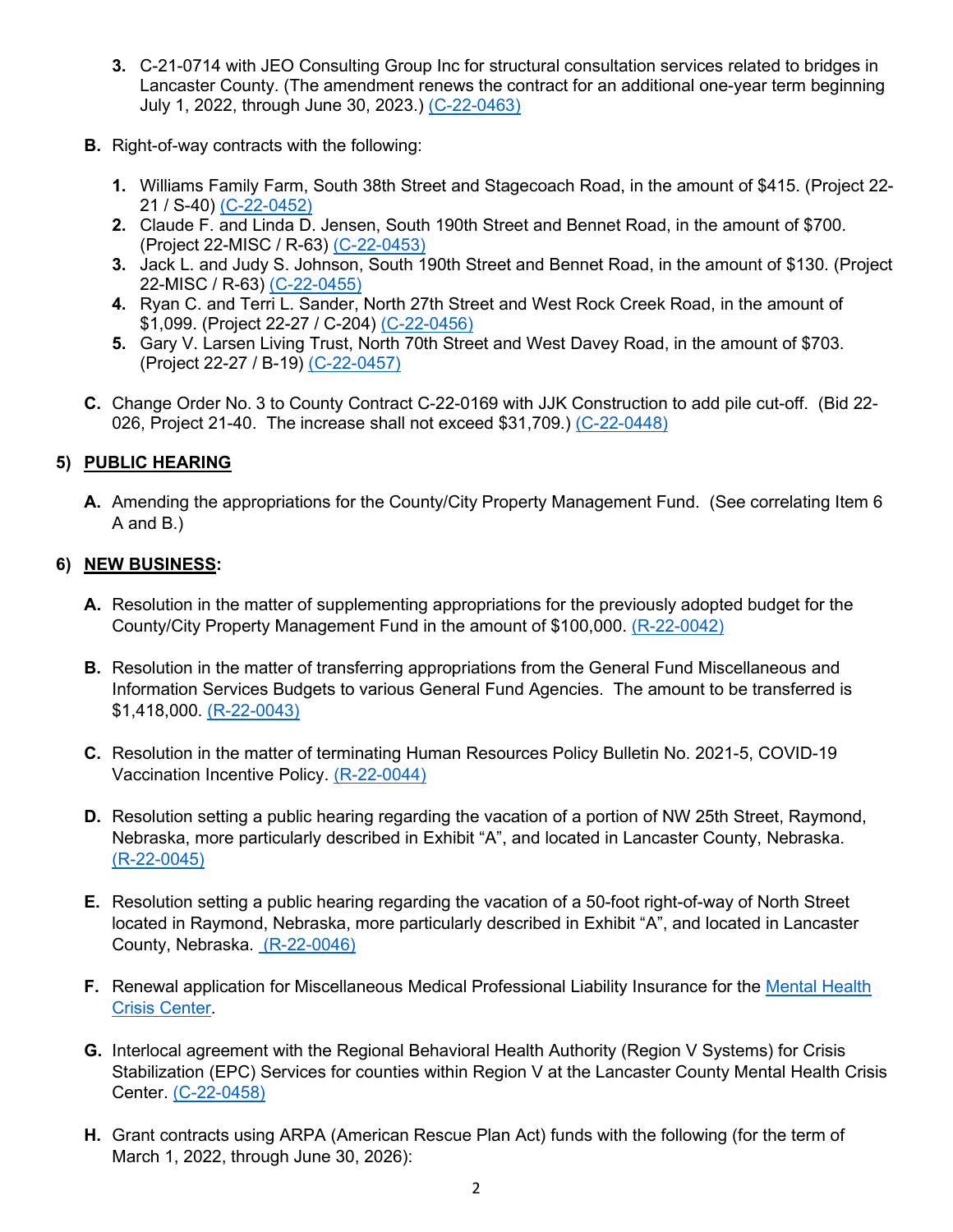- **3.** C-21-0714 with JEO Consulting Group Inc for structural consultation services related to bridges in Lancaster County. (The amendment renews the contract for an additional one-year term beginning July 1, 2022, through June 30, 2023.) [\(C-22-0463\)](https://www.lancaster.ne.gov/DocumentCenter/View/14248/C-22-0463-PDF-)
- **B.** Right-of-way contracts with the following:
	- **1.** Williams Family Farm, South 38th Street and Stagecoach Road, in the amount of \$415. (Project 22- 21 / S-40) [\(C-22-0452\)](https://www.lancaster.ne.gov/DocumentCenter/View/14234/C-22-0452-PDF-)
	- **2.** Claude F. and Linda D. Jensen, South 190th Street and Bennet Road, in the amount of \$700. (Project 22-MISC / R-63) [\(C-22-0453\)](https://www.lancaster.ne.gov/DocumentCenter/View/14219/C-22-0453-PDF-)
	- **3.** Jack L. and Judy S. Johnson, South 190th Street and Bennet Road, in the amount of \$130. (Project 22-MISC / R-63) [\(C-22-0455\)](https://www.lancaster.ne.gov/DocumentCenter/View/14221/C-22-0455-PDF-)
	- **4.** Ryan C. and Terri L. Sander, North 27th Street and West Rock Creek Road, in the amount of \$1,099. (Project 22-27 / C-204) [\(C-22-0456\)](https://www.lancaster.ne.gov/DocumentCenter/View/14222/C-22-0456-PDF-)
	- **5.** Gary V. Larsen Living Trust, North 70th Street and West Davey Road, in the amount of \$703. (Project 22-27 / B-19) [\(C-22-0457\)](https://www.lancaster.ne.gov/DocumentCenter/View/14223/C-22-0457-PDF-)
- **C.** Change Order No. 3 to County Contract C-22-0169 with JJK Construction to add pile cut-off. (Bid 22- 026, Project 21-40. The increase shall not exceed \$31,709.) [\(C-22-0448\)](https://www.lancaster.ne.gov/DocumentCenter/View/14230/C-22-0448-PDF-)

## **5) PUBLIC HEARING**

**A.** Amending the appropriations for the County/City Property Management Fund. (See correlating Item 6 A and B.)

#### **6) NEW BUSINESS:**

- **A.** Resolution in the matter of supplementing appropriations for the previously adopted budget for the County/City Property Management Fund in the amount of \$100,000. [\(R-22-0042\)](https://www.lancaster.ne.gov/DocumentCenter/View/14249/R-22-0042-PDF-)
- **B.** Resolution in the matter of transferring appropriations from the General Fund Miscellaneous and Information Services Budgets to various General Fund Agencies. The amount to be transferred is \$1,418,000. [\(R-22-0043\)](https://www.lancaster.ne.gov/DocumentCenter/View/14246/R-22-0043-PDF-)
- **C.** Resolution in the matter of terminating Human Resources Policy Bulletin No. 2021-5, COVID-19 Vaccination Incentive Policy. [\(R-22-0044\)](https://www.lancaster.ne.gov/DocumentCenter/View/14263/R-22-0044-PDF)
- **D.** Resolution setting a public hearing regarding the vacation of a portion of NW 25th Street, Raymond, Nebraska, more particularly described in Exhibit "A", and located in Lancaster County, Nebraska. [\(R-22-0045\)](https://www.lancaster.ne.gov/DocumentCenter/View/14264/R-22-0045-PDF)
- **E.** Resolution setting a public hearing regarding the vacation of a 50-foot right-of-way of North Street located in Raymond, Nebraska, more particularly described in Exhibit "A", and located in Lancaster County, Nebraska. [\(R-22-0046\)](https://www.lancaster.ne.gov/DocumentCenter/View/14265/R-22-0046-PDF)
- **F.** Renewal application for Miscellaneous Medical Professional Liability Insurance for the [Mental Health](https://www.lancaster.ne.gov/DocumentCenter/View/14227/Mental-Health-Crisis-Center-PDF-)  [Crisis Center.](https://www.lancaster.ne.gov/DocumentCenter/View/14227/Mental-Health-Crisis-Center-PDF-)
- **G.** Interlocal agreement with the Regional Behavioral Health Authority (Region V Systems) for Crisis Stabilization (EPC) Services for counties within Region V at the Lancaster County Mental Health Crisis Center. [\(C-22-0458\)](https://www.lancaster.ne.gov/DocumentCenter/View/14250/C-22-0458-PDF-)
- **H.** Grant contracts using ARPA (American Rescue Plan Act) funds with the following (for the term of March 1, 2022, through June 30, 2026):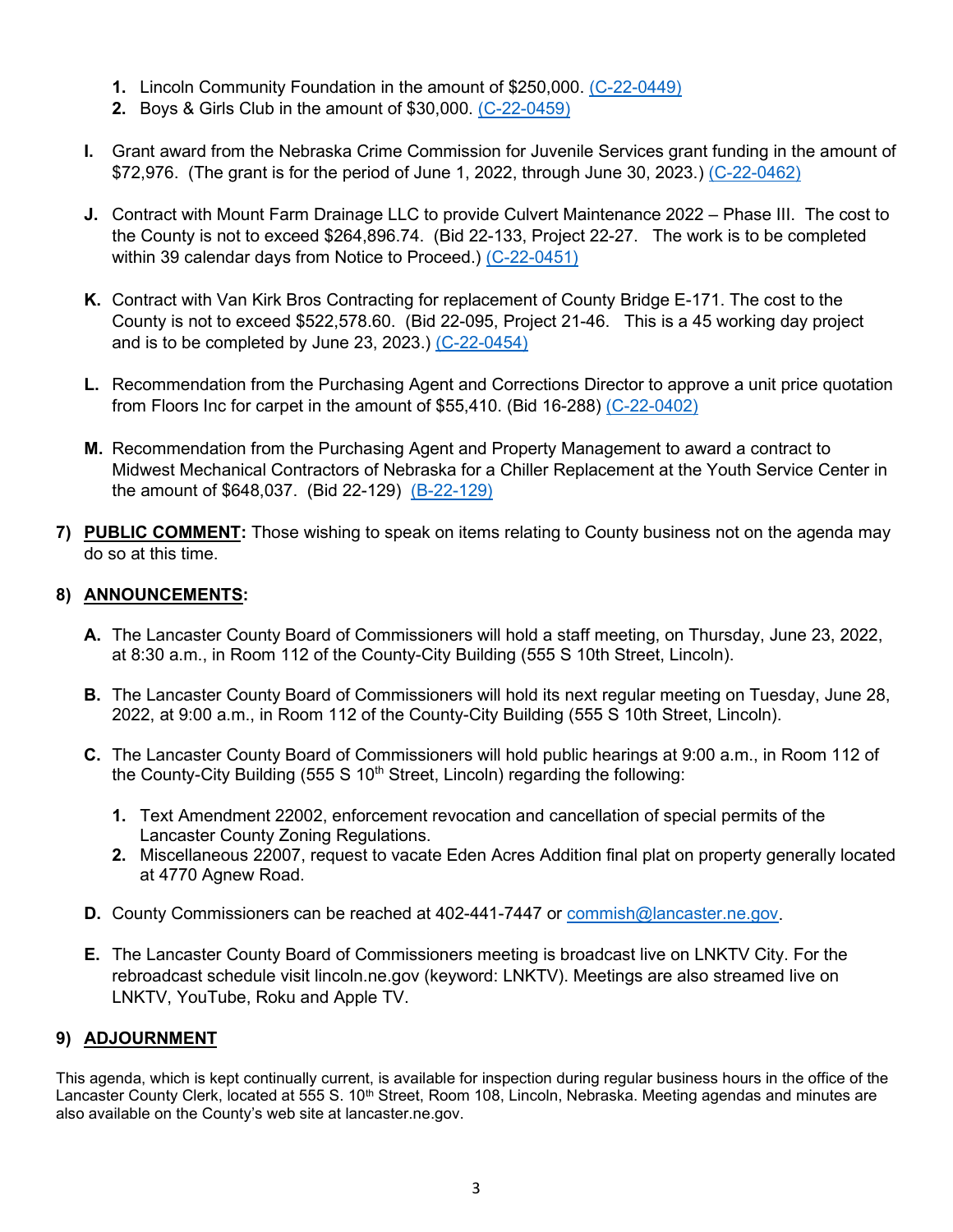- **1.** Lincoln Community Foundation in the amount of \$250,000. [\(C-22-0449\)](https://www.lancaster.ne.gov/DocumentCenter/View/14231/C-22-0449-PDF-)
- **2.** Boys & Girls Club in the amount of \$30,000. [\(C-22-0459\)](https://www.lancaster.ne.gov/DocumentCenter/View/14224/C-22-0459-PDF-)
- **I.** Grant award from the Nebraska Crime Commission for Juvenile Services grant funding in the amount of \$72,976. (The grant is for the period of June 1, 2022, through June 30, 2023.) [\(C-22-0462\)](https://www.lancaster.ne.gov/DocumentCenter/View/14245/C-22-0462-PDF-)
- **J.** Contract with Mount Farm Drainage LLC to provide Culvert Maintenance 2022 Phase III. The cost to the County is not to exceed \$264,896.74. (Bid 22-133, Project 22-27. The work is to be completed within 39 calendar days from Notice to Proceed.) [\(C-22-0451\)](https://www.lancaster.ne.gov/DocumentCenter/View/14233/C-22-0451-PDF-)
- **K.** Contract with Van Kirk Bros Contracting for replacement of County Bridge E-171. The cost to the County is not to exceed \$522,578.60. (Bid 22-095, Project 21-46. This is a 45 working day project and is to be completed by June 23, 2023.) [\(C-22-0454\)](https://www.lancaster.ne.gov/DocumentCenter/View/14220/C-22-0454-PDF-)
- **L.** Recommendation from the Purchasing Agent and Corrections Director to approve a unit price quotation from Floors Inc for carpet in the amount of \$55,410. (Bid 16-288) [\(C-22-0402\)](https://www.lancaster.ne.gov/DocumentCenter/View/14247/C-22-0402-PDF-)
- **M.** Recommendation from the Purchasing Agent and Property Management to award a contract to Midwest Mechanical Contractors of Nebraska for a Chiller Replacement at the Youth Service Center in the amount of \$648,037. (Bid 22-129) [\(B-22-129\)](https://www.lancaster.ne.gov/DocumentCenter/View/14235/B-22-129-PDF-)
- **7) PUBLIC COMMENT:** Those wishing to speak on items relating to County business not on the agenda may do so at this time.

### **8) ANNOUNCEMENTS:**

- **A.** The Lancaster County Board of Commissioners will hold a staff meeting, on Thursday, June 23, 2022, at 8:30 a.m., in Room 112 of the County-City Building (555 S 10th Street, Lincoln).
- **B.** The Lancaster County Board of Commissioners will hold its next regular meeting on Tuesday, June 28, 2022, at 9:00 a.m., in Room 112 of the County-City Building (555 S 10th Street, Lincoln).
- **C.** The Lancaster County Board of Commissioners will hold public hearings at 9:00 a.m., in Room 112 of the County-City Building (555 S  $10<sup>th</sup>$  Street, Lincoln) regarding the following:
	- **1.** Text Amendment 22002, enforcement revocation and cancellation of special permits of the Lancaster County Zoning Regulations.
	- **2.** Miscellaneous 22007, request to vacate Eden Acres Addition final plat on property generally located at 4770 Agnew Road.
- **D.** County Commissioners can be reached at 402-441-7447 or [commish@lancaster.ne.gov.](mailto:commish@lancaster.ne.gov)
- **E.** The Lancaster County Board of Commissioners meeting is broadcast live on LNKTV City. For the rebroadcast schedule visit lincoln.ne.gov (keyword: LNKTV). Meetings are also streamed live on LNKTV, YouTube, Roku and Apple TV.

#### **9) ADJOURNMENT**

This agenda, which is kept continually current, is available for inspection during regular business hours in the office of the Lancaster County Clerk, located at 555 S. 10<sup>th</sup> Street, Room 108, Lincoln, Nebraska. Meeting agendas and minutes are also available on the County's web site at lancaster.ne.gov.